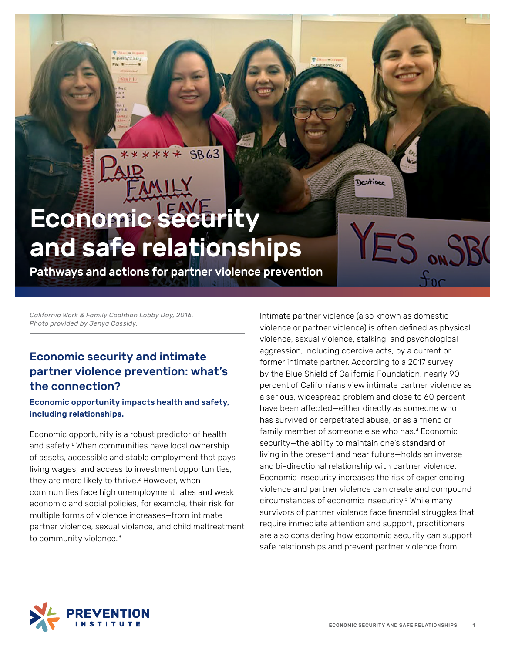Economic security and safe relationships

\*\*\*\*\*\*

SB63

Pathways and actions for partner violence prevention

*California Work & Family Coalition Lobby Day, 2016. Photo provided by Jenya Cassidy.* 

# Economic security and intimate partner violence prevention: what's the connection?

guesticitiers

#### Economic opportunity impacts health and safety, including relationships.

Economic opportunity is a robust predictor of health and safety.<sup>1</sup> When communities have local ownership of assets, accessible and stable employment that pays living wages, and access to investment opportunities, they are more likely to thrive.<sup>2</sup> However, when communities face high unemployment rates and weak economic and social policies, for example, their risk for multiple forms of violence increases—from intimate partner violence, sexual violence, and child maltreatment to community violence.<sup>3</sup>

Intimate partner violence (also known as domestic violence or partner violence) is often defined as physical violence, sexual violence, stalking, and psychological aggression, including coercive acts, by a current or former intimate partner. According to a 2017 survey by the Blue Shield of California Foundation, nearly 90 percent of Californians view intimate partner violence as a serious, widespread problem and close to 60 percent have been affected—either directly as someone who has survived or perpetrated abuse, or as a friend or family member of someone else who has.<sup>4</sup> Economic security—the ability to maintain one's standard of living in the present and near future—holds an inverse and bi-directional relationship with partner violence. Economic insecurity increases the risk of experiencing violence and partner violence can create and compound circumstances of economic insecurity.<sup>5</sup> While many survivors of partner violence face financial struggles that require immediate attention and support, practitioners are also considering how economic security can support safe relationships and prevent partner violence from

Destinee

ES ONS

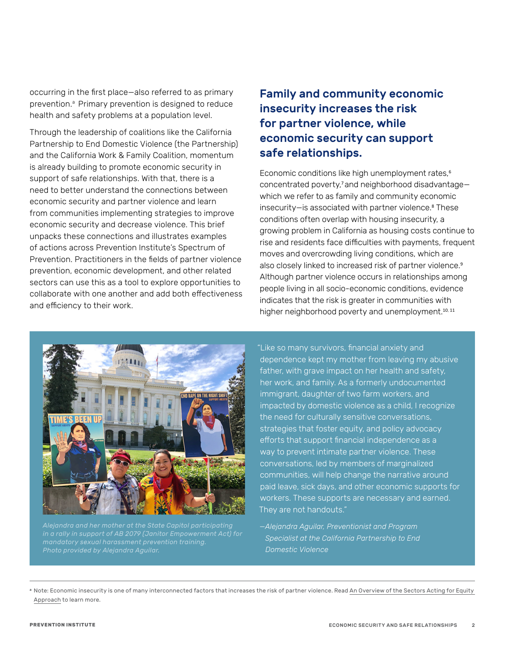occurring in the first place—also referred to as primary prevention.<sup>a</sup> Primary prevention is designed to reduce health and safety problems at a population level.

Through the leadership of coalitions like the California Partnership to End Domestic Violence (the Partnership) and the California Work & Family Coalition, momentum is already building to promote economic security in support of safe relationships. With that, there is a need to better understand the connections between economic security and partner violence and learn from communities implementing strategies to improve economic security and decrease violence. This brief unpacks these connections and illustrates examples of actions across Prevention Institute's Spectrum of Prevention. Practitioners in the fields of partner violence prevention, economic development, and other related sectors can use this as a tool to explore opportunities to collaborate with one another and add both effectiveness and efficiency to their work.

# Family and community economic insecurity increases the risk for partner violence, while economic security can support safe relationships.

Economic conditions like high unemployment rates,<sup>6</sup> concentrated poverty,<sup>7</sup>and neighborhood disadvantage which we refer to as family and community economic insecurity—is associated with partner violence.<sup>8</sup> These conditions often overlap with housing insecurity, a growing problem in California as housing costs continue to rise and residents face difficulties with payments, frequent moves and overcrowding living conditions, which are also closely linked to increased risk of partner violence.<sup>9</sup> Although partner violence occurs in relationships among people living in all socio-economic conditions, evidence indicates that the risk is greater in communities with higher neighborhood poverty and unemployment.<sup>10, 11</sup>



*in a rally in support of AB 2079 (Janitor Empowerment Act) for mandatory sexual harassment prevention training. Photo provided by Alejandra Aguilar.*

"Like so many survivors, financial anxiety and dependence kept my mother from leaving my abusive father, with grave impact on her health and safety, her work, and family. As a formerly undocumented immigrant, daughter of two farm workers, and impacted by domestic violence as a child, I recognize the need for culturally sensitive conversations, strategies that foster equity, and policy advocacy efforts that support financial independence as a way to prevent intimate partner violence. These conversations, led by members of marginalized communities, will help change the narrative around paid leave, sick days, and other economic supports for workers. These supports are necessary and earned. They are not handouts."

*—Alejandra Aguilar, Preventionist and Program Specialist at the California Partnership to End Domestic Violence*

<span id="page-1-0"></span> $\bullet$  Note: Economic insecurity is one of many interconnected factors that increases the risk of partner violence. Read <u>[An Overview of the Sectors Acting for Equity](http://www.preventioninstitute.org/sites/default/files/publications/An%20Overview%20of%20the%20SAFE%20%28Sectors%20Acting%20For%20Equity%29%20Approach%20.pdf) </u> [Approach](http://www.preventioninstitute.org/sites/default/files/publications/An%20Overview%20of%20the%20SAFE%20%28Sectors%20Acting%20For%20Equity%29%20Approach%20.pdf) to learn more.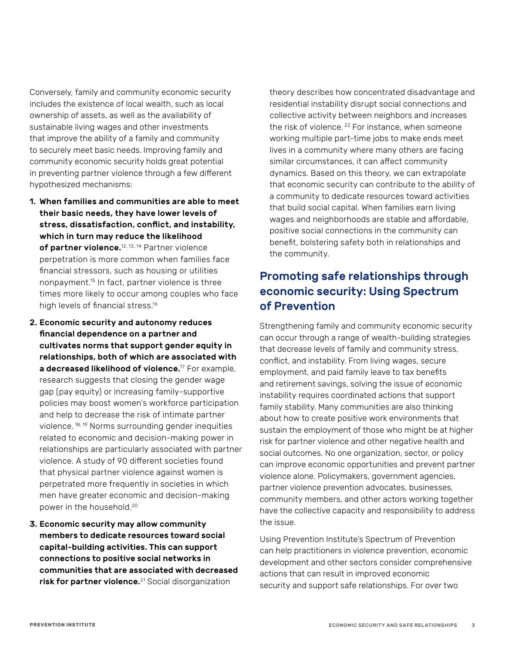Conversely, family and community economic security includes the existence of local wealth, such as local ownership of assets, as well as the availability of sustainable living wages and other investments that improve the ability of a family and community to securely meet basic needs. Improving family and community economic security holds great potential in preventing partner violence through a few different hypothesized mechanisms:

- 1. When families and communities are able to meet their basic needs, they have lower levels of stress, dissatisfaction, conflict, and instability, which in turn may reduce the likelihood of partner violence.<sup>12, 13, 14</sup> Partner violence perpetration is more common when families face financial stressors, such as housing or utilities nonpayment.15 In fact, partner violence is three times more likely to occur among couples who face high levels of financial stress.<sup>16</sup>
- 2. Economic security and autonomy reduces financial dependence on a partner and cultivates norms that support gender equity in relationships, both of which are associated with a decreased likelihood of violence.<sup>17</sup> For example, research suggests that closing the gender wage gap (pay equity) or increasing family-supportive policies may boost women's workforce participation and help to decrease the risk of intimate partner violence. 18, 19 Norms surrounding gender inequities related to economic and decision-making power in relationships are particularly associated with partner violence. A study of 90 different societies found that physical partner violence against women is perpetrated more frequently in societies in which men have greater economic and decision-making power in the household.20
- 3. Economic security may allow community members to dedicate resources toward social capital-building activities. This can support connections to positive social networks in communities that are associated with decreased risk for partner violence.<sup>21</sup> Social disorganization

theory describes how concentrated disadvantage and residential instability disrupt social connections and collective activity between neighbors and increases the risk of violence.<sup>22</sup> For instance, when someone working multiple part-time jobs to make ends meet lives in a community where many others are facing similar circumstances, it can affect community dynamics. Based on this theory, we can extrapolate that economic security can contribute to the ability of a community to dedicate resources toward activities that build social capital. When families earn living wages and neighborhoods are stable and affordable, positive social connections in the community can benefit, bolstering safety both in relationships and the community.

# Promoting safe relationships through economic security: Using Spectrum of Prevention

Strengthening family and community economic security can occur through a range of wealth-building strategies that decrease levels of family and community stress, conflict, and instability. From living wages, secure employment, and paid family leave to tax benefits and retirement savings, solving the issue of economic instability requires coordinated actions that support family stability. Many communities are also thinking about how to create positive work environments that sustain the employment of those who might be at higher risk for partner violence and other negative health and social outcomes. No one organization, sector, or policy can improve economic opportunities and prevent partner violence alone. Policymakers, government agencies, partner violence prevention advocates, businesses, community members, and other actors working together have the collective capacity and responsibility to address the issue.

Using Prevention Institute's Spectrum of Prevention can help practitioners in violence prevention, economic development and other sectors consider comprehensive actions that can result in improved economic security and support safe relationships. For over two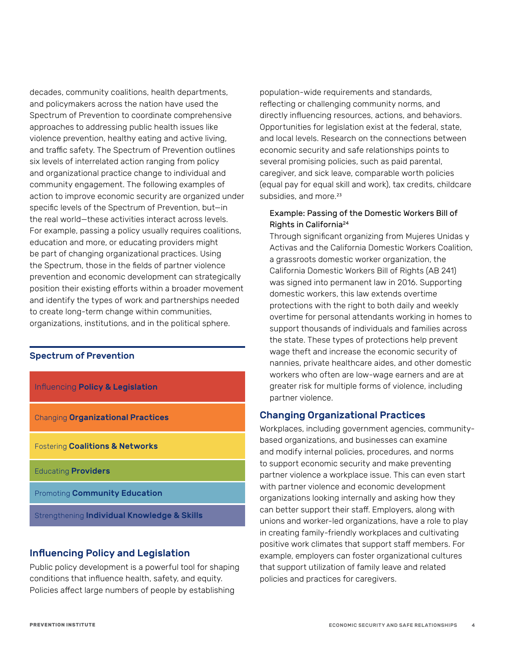decades, community coalitions, health departments, and policymakers across the nation have used the Spectrum of Prevention to coordinate comprehensive approaches to addressing public health issues like violence prevention, healthy eating and active living, and traffic safety. The Spectrum of Prevention outlines six levels of interrelated action ranging from policy and organizational practice change to individual and community engagement. The following examples of action to improve economic security are organized under specific levels of the Spectrum of Prevention, but—in the real world—these activities interact across levels. For example, passing a policy usually requires coalitions, education and more, or educating providers might be part of changing organizational practices. Using the Spectrum, those in the fields of partner violence prevention and economic development can strategically position their existing efforts within a broader movement and identify the types of work and partnerships needed to create long-term change within communities, organizations, institutions, and in the political sphere.

#### Spectrum of Prevention

| Influencing Policy & Legislation                       |
|--------------------------------------------------------|
| <b>Changing Organizational Practices</b>               |
| <b>Fostering Coalitions &amp; Networks</b>             |
| <b>Educating Providers</b>                             |
| <b>Promoting Community Education</b>                   |
| Strengthening <b>Individual Knowledge &amp; Skills</b> |

# Influencing Policy and Legislation

Public policy development is a powerful tool for shaping conditions that influence health, safety, and equity. Policies affect large numbers of people by establishing

population-wide requirements and standards, reflecting or challenging community norms, and directly influencing resources, actions, and behaviors. Opportunities for legislation exist at the federal, state, and local levels. Research on the connections between economic security and safe relationships points to several promising policies, such as paid parental, caregiver, and sick leave, comparable worth policies (equal pay for equal skill and work), tax credits, childcare subsidies, and more.<sup>23</sup>

#### Example: Passing of the Domestic Workers Bill of Rights in California24

Through significant organizing from Mujeres Unidas y Activas and the California Domestic Workers Coalition, a grassroots domestic worker organization, the California Domestic Workers Bill of Rights (AB 241) was signed into permanent law in 2016. Supporting domestic workers, this law extends overtime protections with the right to both daily and weekly overtime for personal attendants working in homes to support thousands of individuals and families across the state. These types of protections help prevent wage theft and increase the economic security of nannies, private healthcare aides, and other domestic workers who often are low-wage earners and are at greater risk for multiple forms of violence, including partner violence.

# Changing Organizational Practices

Workplaces, including government agencies, communitybased organizations, and businesses can examine and modify internal policies, procedures, and norms to support economic security and make preventing partner violence a workplace issue. This can even start with partner violence and economic development organizations looking internally and asking how they can better support their staff. Employers, along with unions and worker-led organizations, have a role to play in creating family-friendly workplaces and cultivating positive work climates that support staff members. For example, employers can foster organizational cultures that support utilization of family leave and related policies and practices for caregivers.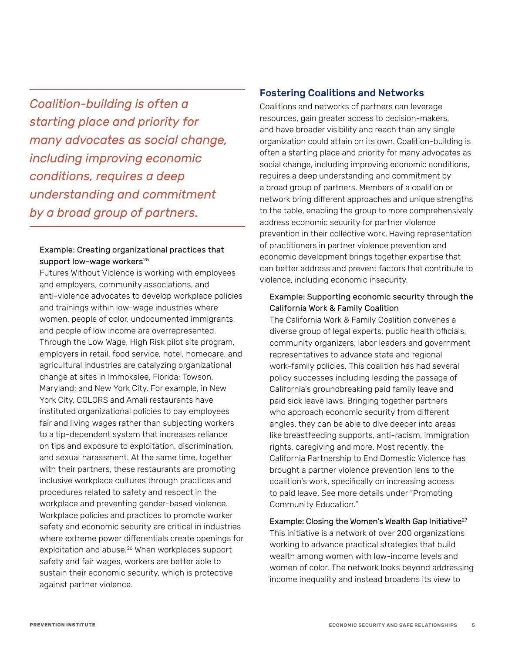*Coalition-building is often a starting place and priority for many advocates as social change, including improving economic conditions, requires a deep understanding and commitment by a broad group of partners.*

#### Example: Creating organizational practices that support low-wage workers<sup>25</sup>

Futures Without Violence is working with employees and employers, community associations, and anti-violence advocates to develop workplace policies and trainings within low-wage industries where women, people of color, undocumented immigrants, and people of low income are overrepresented. Through the Low Wage, High Risk pilot site program, employers in retail, food service, hotel, homecare, and agricultural industries are catalyzing organizational change at sites in Immokalee, Florida; Towson, Maryland; and New York City. For example, in New York City, COLORS and Amali restaurants have instituted organizational policies to pay employees fair and living wages rather than subjecting workers to a tip-dependent system that increases reliance on tips and exposure to exploitation, discrimination, and sexual harassment. At the same time, together with their partners, these restaurants are promoting inclusive workplace cultures through practices and procedures related to safety and respect in the workplace and preventing gender-based violence. Workplace policies and practices to promote worker safety and economic security are critical in industries where extreme power differentials create openings for exploitation and abuse.<sup>26</sup> When workplaces support safety and fair wages, workers are better able to sustain their economic security, which is protective against partner violence.

### Fostering Coalitions and Networks

Coalitions and networks of partners can leverage resources, gain greater access to decision-makers, and have broader visibility and reach than any single organization could attain on its own. Coalition-building is often a starting place and priority for many advocates as social change, including improving economic conditions, requires a deep understanding and commitment by a broad group of partners. Members of a coalition or network bring different approaches and unique strengths to the table, enabling the group to more comprehensively address economic security for partner violence prevention in their collective work. Having representation of practitioners in partner violence prevention and economic development brings together expertise that can better address and prevent factors that contribute to violence, including economic insecurity.

#### Example: Supporting economic security through the California Work & Family Coalition

The California Work & Family Coalition convenes a diverse group of legal experts, public health officials, community organizers, labor leaders and government representatives to advance state and regional work-family policies. This coalition has had several policy successes including leading the passage of California's groundbreaking paid family leave and paid sick leave laws. Bringing together partners who approach economic security from different angles, they can be able to dive deeper into areas like breastfeeding supports, anti-racism, immigration rights, caregiving and more. Most recently, the California Partnership to End Domestic Violence has brought a partner violence prevention lens to the coalition's work, specifically on increasing access to paid leave. See more details under "Promoting Community Education."

Example: Closing the Women's Wealth Gap Initiative<sup>27</sup> This initiative is a network of over 200 organizations working to advance practical strategies that build wealth among women with low-income levels and women of color. The network looks beyond addressing income inequality and instead broadens its view to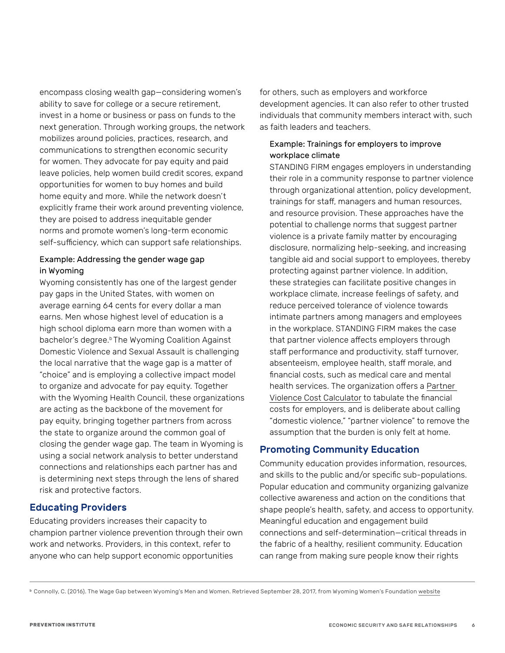encompass closing wealth gap—considering women's ability to save for college or a secure retirement, invest in a home or business or pass on funds to the next generation. Through working groups, the network mobilizes around policies, practices, research, and communications to strengthen economic security for women. They advocate for pay equity and paid leave policies, help women build credit scores, expand opportunities for women to buy homes and build home equity and more. While the network doesn't explicitly frame their work around preventing violence, they are poised to address inequitable gender norms and promote women's long-term economic self-sufficiency, which can support safe relationships.

#### Example: Addressing the gender wage gap in Wyoming

Wyoming consistently has one of the largest gender pay gaps in the United States, with women on average earning 64 cents for every dollar a man earns. Men whose highest level of education is a high school diploma earn more than women with a bachelor's degree.<sup>b</sup> The Wyoming Coalition Against Domestic Violence and Sexual Assault is challenging the local narrative that the wage gap is a matter of "choice" and is employing a collective impact model to organize and advocate for pay equity. Together with the Wyoming Health Council, these organizations are acting as the backbone of the movement for pay equity, bringing together partners from across the state to organize around the common goal of closing the gender wage gap. The team in Wyoming is using a social network analysis to better understand connections and relationships each partner has and is determining next steps through the lens of shared risk and protective factors.

# Educating Providers

Educating providers increases their capacity to champion partner violence prevention through their own work and networks. Providers, in this context, refer to anyone who can help support economic opportunities

for others, such as employers and workforce development agencies. It can also refer to other trusted individuals that community members interact with, such as faith leaders and teachers.

### Example: Trainings for employers to improve workplace climate

STANDING FIRM engages employers in understanding their role in a community response to partner violence through organizational attention, policy development, trainings for staff, managers and human resources, and resource provision. These approaches have the potential to challenge norms that suggest partner violence is a private family matter by encouraging disclosure, normalizing help-seeking, and increasing tangible aid and social support to employees, thereby protecting against partner violence. In addition, these strategies can facilitate positive changes in workplace climate, increase feelings of safety, and reduce perceived tolerance of violence towards intimate partners among managers and employees in the workplace. STANDING FIRM makes the case that partner violence affects employers through staff performance and productivity, staff turnover, absenteeism, employee health, staff morale, and financial costs, such as medical care and mental health services. The organization offers a [Partner](https://www.standingfirmswpa.org/the-need/partner-violence-cost-calculator/)  [Violence Cost Calculator](https://www.standingfirmswpa.org/the-need/partner-violence-cost-calculator/) to tabulate the financial costs for employers, and is deliberate about calling "domestic violence," "partner violence" to remove the assumption that the burden is only felt at home.

# Promoting Community Education

Community education provides information, resources, and skills to the public and/or specific sub-populations. Popular education and community organizing galvanize collective awareness and action on the conditions that shape people's health, safety, and access to opportunity. Meaningful education and engagement build connections and self-determination—critical threads in the fabric of a healthy, resilient community. Education can range from making sure people know their rights

<span id="page-5-0"></span><sup>b</sup> Connolly, C. (2016). The Wage Gap between Wyoming's Men and Women. Retrieved September 28, 2017, from Wyoming Women's Foundation [website](http://wywf.org/wp-content/uploads/2016/06/Wyoming-Wage-Gap-Report-2015.pdf)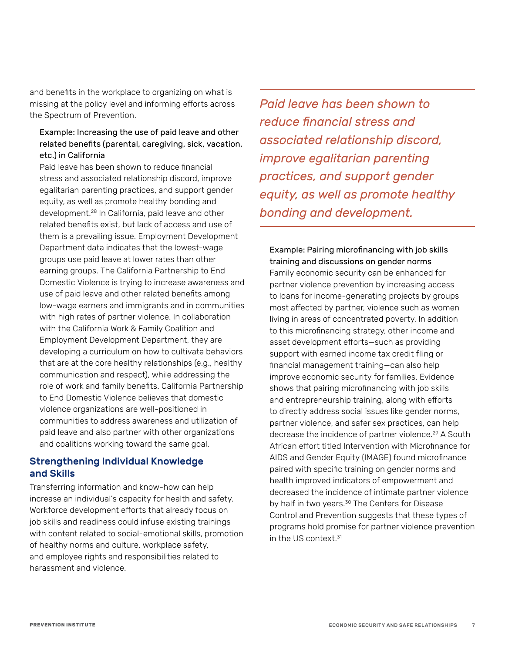and benefits in the workplace to organizing on what is missing at the policy level and informing efforts across the Spectrum of Prevention.

#### Example: Increasing the use of paid leave and other related benefits (parental, caregiving, sick, vacation, etc.) in California

Paid leave has been shown to reduce financial stress and associated relationship discord, improve egalitarian parenting practices, and support gender equity, as well as promote healthy bonding and development.28 In California, paid leave and other related benefits exist, but lack of access and use of them is a prevailing issue. Employment Development Department data indicates that the lowest-wage groups use paid leave at lower rates than other earning groups. The California Partnership to End Domestic Violence is trying to increase awareness and use of paid leave and other related benefits among low-wage earners and immigrants and in communities with high rates of partner violence. In collaboration with the California Work & Family Coalition and Employment Development Department, they are developing a curriculum on how to cultivate behaviors that are at the core healthy relationships (e.g., healthy communication and respect), while addressing the role of work and family benefits. California Partnership to End Domestic Violence believes that domestic violence organizations are well-positioned in communities to address awareness and utilization of paid leave and also partner with other organizations and coalitions working toward the same goal.

### Strengthening Individual Knowledge and Skills

Transferring information and know-how can help increase an individual's capacity for health and safety. Workforce development efforts that already focus on job skills and readiness could infuse existing trainings with content related to social-emotional skills, promotion of healthy norms and culture, workplace safety, and employee rights and responsibilities related to harassment and violence.

*Paid leave has been shown to reduce financial stress and associated relationship discord, improve egalitarian parenting practices, and support gender equity, as well as promote healthy bonding and development.*

Example: Pairing microfinancing with job skills training and discussions on gender norms Family economic security can be enhanced for partner violence prevention by increasing access to loans for income-generating projects by groups most affected by partner, violence such as women living in areas of concentrated poverty. In addition to this microfinancing strategy, other income and asset development efforts—such as providing support with earned income tax credit filing or financial management training—can also help improve economic security for families. Evidence shows that pairing microfinancing with job skills and entrepreneurship training, along with efforts to directly address social issues like gender norms, partner violence, and safer sex practices, can help decrease the incidence of partner violence.29 A South African effort titled Intervention with Microfinance for AIDS and Gender Equity (IMAGE) found microfinance paired with specific training on gender norms and health improved indicators of empowerment and decreased the incidence of intimate partner violence by half in two years.<sup>30</sup> The Centers for Disease Control and Prevention suggests that these types of programs hold promise for partner violence prevention in the US context  $31$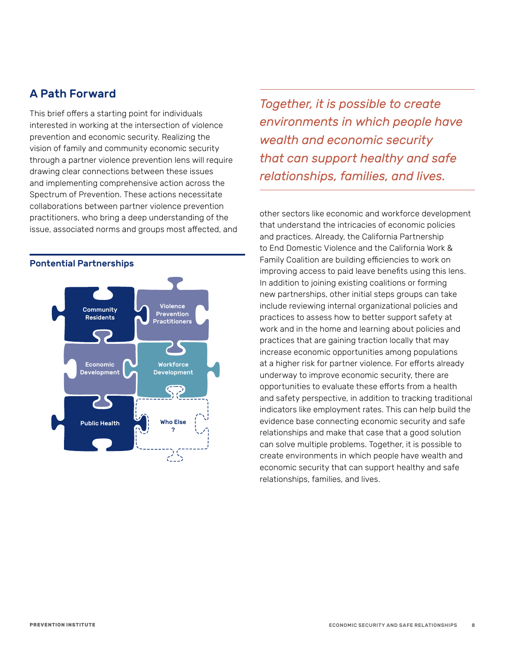# A Path Forward

This brief offers a starting point for individuals interested in working at the intersection of violence prevention and economic security. Realizing the vision of family and community economic security through a partner violence prevention lens will require drawing clear connections between these issues and implementing comprehensive action across the Spectrum of Prevention. These actions necessitate collaborations between partner violence prevention practitioners, who bring a deep understanding of the issue, associated norms and groups most affected, and



#### Pontential Partnerships

*Together, it is possible to create environments in which people have wealth and economic security that can support healthy and safe relationships, families, and lives.*

other sectors like economic and workforce development that understand the intricacies of economic policies and practices. Already, the California Partnership to End Domestic Violence and the California Work & Family Coalition are building efficiencies to work on improving access to paid leave benefits using this lens. In addition to joining existing coalitions or forming new partnerships, other initial steps groups can take include reviewing internal organizational policies and practices to assess how to better support safety at work and in the home and learning about policies and practices that are gaining traction locally that may increase economic opportunities among populations at a higher risk for partner violence. For efforts already underway to improve economic security, there are opportunities to evaluate these efforts from a health and safety perspective, in addition to tracking traditional indicators like employment rates. This can help build the evidence base connecting economic security and safe relationships and make that case that a good solution can solve multiple problems. Together, it is possible to create environments in which people have wealth and economic security that can support healthy and safe relationships, families, and lives.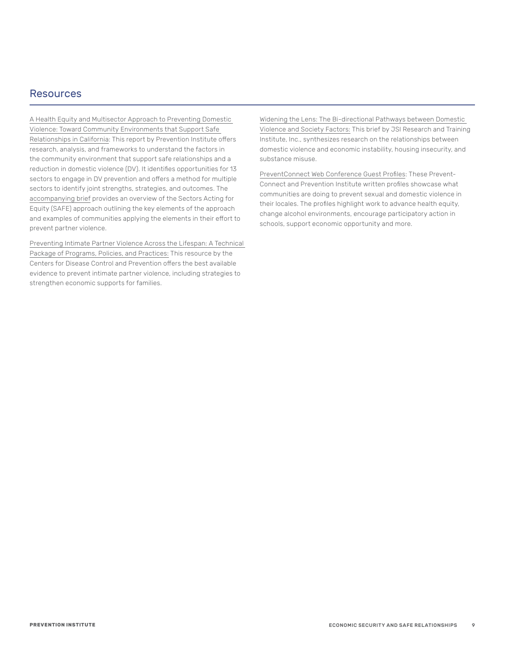### Resources

[A Health Equity and Multisector Approach to Preventing Domestic](https://www.preventioninstitute.org/sites/default/files/publications/PI_DV_0726.pdf)  [Violence: Toward Community Environments that Support Safe](https://www.preventioninstitute.org/sites/default/files/publications/PI_DV_0726.pdf)  [Relationships in California](https://www.preventioninstitute.org/sites/default/files/publications/PI_DV_0726.pdf): This report by Prevention Institute offers research, analysis, and frameworks to understand the factors in the community environment that support safe relationships and a reduction in domestic violence (DV). It identifies opportunities for 13 sectors to engage in DV prevention and offers a method for multiple sectors to identify joint strengths, strategies, and outcomes. The [accompanying brief](http://www.preventioninstitute.org/sites/default/files/publications/An%20Overview%20of%20the%20SAFE%20%28Sectors%20Acting%20For%20Equity%29%20Approach%20.pdf) provides an overview of the Sectors Acting for Equity (SAFE) approach outlining the key elements of the approach and examples of communities applying the elements in their effort to prevent partner violence.

[Preventing Intimate Partner Violence Across the Lifespan: A Technical](https://www.cdc.gov/violenceprevention/pdf/ipv-technicalpackages.pdf)  [Package of Programs, Policies, and Practices:](https://www.cdc.gov/violenceprevention/pdf/ipv-technicalpackages.pdf) This resource by the Centers for Disease Control and Prevention offers the best available evidence to prevent intimate partner violence, including strategies to strengthen economic supports for families.

[Widening the Lens: The Bi-directional Pathways between Domestic](https://www.jsi.com/JSIInternet/Inc/Common/_download_pub.cfm?id=22002&lid=3)  [Violence and Society Factors:](https://www.jsi.com/JSIInternet/Inc/Common/_download_pub.cfm?id=22002&lid=3) This brief by JSI Research and Training Institute, Inc., synthesizes research on the relationships between domestic violence and economic instability, housing insecurity, and substance misuse.

[PreventConnect Web Conference Guest Profiles](http://www.preventconnect.org/2018/07/preventconnect-web-conference-guest-profiles/): These Prevent-Connect and Prevention Institute written profiles showcase what communities are doing to prevent sexual and domestic violence in their locales. The profiles highlight work to advance health equity, change alcohol environments, encourage participatory action in schools, support economic opportunity and more.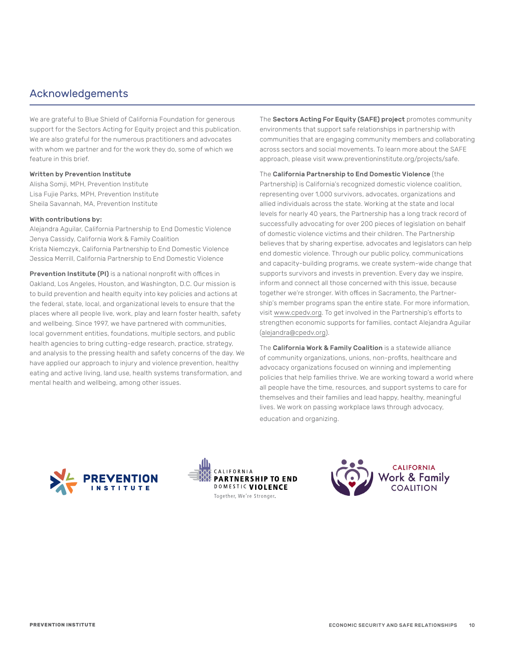# Acknowledgements

We are grateful to Blue Shield of California Foundation for generous support for the Sectors Acting for Equity project and this publication. We are also grateful for the numerous practitioners and advocates with whom we partner and for the work they do, some of which we feature in this brief.

#### Written by Prevention Institute

Alisha Somji, MPH, Prevention Institute Lisa Fujie Parks, MPH, Prevention Institute Sheila Savannah, MA, Prevention Institute

#### With contributions by:

Alejandra Aguilar, California Partnership to End Domestic Violence Jenya Cassidy, California Work & Family Coalition Krista Niemczyk, California Partnership to End Domestic Violence Jessica Merrill, California Partnership to End Domestic Violence

**Prevention Institute (PI)** is a national nonprofit with offices in Oakland, Los Angeles, Houston, and Washington, D.C. Our mission is to build prevention and health equity into key policies and actions at the federal, state, local, and organizational levels to ensure that the places where all people live, work, play and learn foster health, safety and wellbeing. Since 1997, we have partnered with communities, local government entities, foundations, multiple sectors, and public health agencies to bring cutting-edge research, practice, strategy, and analysis to the pressing health and safety concerns of the day. We have applied our approach to injury and violence prevention, healthy eating and active living, land use, health systems transformation, and mental health and wellbeing, among other issues.

The Sectors Acting For Equity (SAFE) project promotes community environments that support safe relationships in partnership with communities that are engaging community members and collaborating across sectors and social movements. To learn more about the SAFE approach, please visit www.preventioninstitute.org/projects/safe.

The California Partnership to End Domestic Violence (the Partnership) is California's recognized domestic violence coalition, representing over 1,000 survivors, advocates, organizations and allied individuals across the state. Working at the state and local levels for nearly 40 years, the Partnership has a long track record of successfully advocating for over 200 pieces of legislation on behalf of domestic violence victims and their children. The Partnership believes that by sharing expertise, advocates and legislators can help end domestic violence. Through our public policy, communications and capacity-building programs, we create system-wide change that supports survivors and invests in prevention. Every day we inspire, inform and connect all those concerned with this issue, because together we're stronger. With offices in Sacramento, the Partnership's member programs span the entire state. For more information, visit [www.cpedv.org](http://www.cpedv.org/). To get involved in the Partnership's efforts to strengthen economic supports for families, contact Alejandra Aguilar [\(alejandra@cpedv.org](mailto:alejandra@cpedv.org)).

The California Work & Family Coalition is a statewide alliance of community organizations, unions, non-profits, healthcare and advocacy organizations focused on winning and implementing policies that help families thrive. We are working toward a world where all people have the time, resources, and support systems to care for themselves and their families and lead happy, healthy, meaningful lives. We work on passing workplace laws through advocacy, education and organizing.





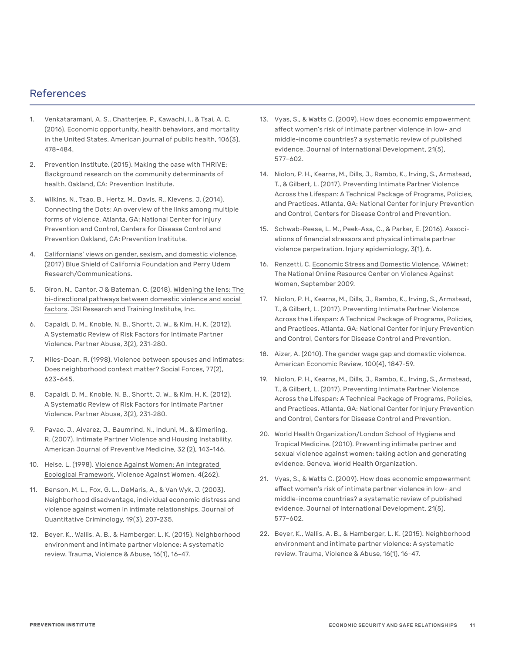# References

- 1. Venkataramani, A. S., Chatterjee, P., Kawachi, I., & Tsai, A. C. (2016). Economic opportunity, health behaviors, and mortality in the United States. American journal of public health, 106(3), 478-484.
- 2. Prevention Institute. (2015). Making the case with THRIVE: Background research on the community determinants of health. Oakland, CA: Prevention Institute.
- 3. Wilkins, N., Tsao, B., Hertz, M., Davis, R., Klevens, J. (2014). Connecting the Dots: An overview of the links among multiple forms of violence. Atlanta, GA: National Center for Injury Prevention and Control, Centers for Disease Control and Prevention Oakland, CA: Prevention Institute.
- 4. [Californians' views on gender, sexism, and domestic violence](https://blueshieldcafoundation.org/sites/default/files/covers/DV%20Report%209.26_FINAL.pdf). (2017) Blue Shield of California Foundation and Perry Udem Research/Communications.
- 5. Giron, N., Cantor, J & Bateman, C. (2018). [Widening the lens: The](https://www.jsi.com/JSIInternet/Inc/Common/_download_pub.cfm?id=22002&lid=3)  [bi-directional pathways between domestic violence and social](https://www.jsi.com/JSIInternet/Inc/Common/_download_pub.cfm?id=22002&lid=3)  [factors](https://www.jsi.com/JSIInternet/Inc/Common/_download_pub.cfm?id=22002&lid=3). JSI Research and Training Institute, Inc.
- 6. Capaldi, D. M., Knoble, N. B., Shortt, J. W., & Kim, H. K. (2012). A Systematic Review of Risk Factors for Intimate Partner Violence. Partner Abuse, 3(2), 231-280.
- 7. Miles-Doan, R. (1998). Violence between spouses and intimates: Does neighborhood context matter? Social Forces, 77(2), 623-645.
- 8. Capaldi, D. M., Knoble, N. B., Shortt, J. W., & Kim, H. K. (2012). A Systematic Review of Risk Factors for Intimate Partner Violence. Partner Abuse, 3(2), 231-280.
- 9. Pavao, J., Alvarez, J., Baumrind, N., Induni, M., & Kimerling, R. (2007). Intimate Partner Violence and Housing Instability. American Journal of Preventive Medicine, 32 (2), 143-146.
- 10. Heise, L. (1998). [Violence Against Women: An Integrated](https://www.ncbi.nlm.nih.gov/pubmed/12296014)  [Ecological Framework.](https://www.ncbi.nlm.nih.gov/pubmed/12296014) Violence Against Women, 4(262).
- 11. Benson, M. L., Fox, G. L., DeMaris, A., & Van Wyk, J. (2003). Neighborhood disadvantage, individual economic distress and violence against women in intimate relationships. Journal of Quantitative Criminology, 19(3), 207-235.
- 12. Beyer, K., Wallis, A. B., & Hamberger, L. K. (2015). Neighborhood environment and intimate partner violence: A systematic review. Trauma, Violence & Abuse, 16(1), 16-47.
- 13. Vyas, S., & Watts C. (2009). How does economic empowerment affect women's risk of intimate partner violence in low- and middle-income countries? a systematic review of published evidence. Journal of International Development, 21(5), 577–602.
- 14. Niolon, P. H., Kearns, M., Dills, J., Rambo, K., Irving, S., Armstead, T., & Gilbert, L. (2017). Preventing Intimate Partner Violence Across the Lifespan: A Technical Package of Programs, Policies, and Practices. Atlanta, GA: National Center for Injury Prevention and Control, Centers for Disease Control and Prevention.
- 15. Schwab-Reese, L. M., Peek-Asa, C., & Parker, E. (2016). Associations of financial stressors and physical intimate partner violence perpetration. Injury epidemiology, 3(1), 6.
- 16. Renzetti, C. [Economic Stress and Domestic Violence](https://vawnet.org/material/economic-stress-and-domestic-violence). VAWnet: The National Online Resource Center on Violence Against Women, September 2009.
- 17. Niolon, P. H., Kearns, M., Dills, J., Rambo, K., Irving, S., Armstead, T., & Gilbert, L. (2017). Preventing Intimate Partner Violence Across the Lifespan: A Technical Package of Programs, Policies, and Practices. Atlanta, GA: National Center for Injury Prevention and Control, Centers for Disease Control and Prevention.
- 18. Aizer, A. (2010). The gender wage gap and domestic violence. American Economic Review, 100(4), 1847-59.
- 19. Niolon, P. H., Kearns, M., Dills, J., Rambo, K., Irving, S., Armstead, T., & Gilbert, L. (2017). Preventing Intimate Partner Violence Across the Lifespan: A Technical Package of Programs, Policies, and Practices. Atlanta, GA: National Center for Injury Prevention and Control, Centers for Disease Control and Prevention.
- 20. World Health Organization/London School of Hygiene and Tropical Medicine. (2010). Preventing intimate partner and sexual violence against women: taking action and generating evidence. Geneva, World Health Organization.
- 21. Vyas, S., & Watts C. (2009). How does economic empowerment affect women's risk of intimate partner violence in low- and middle-income countries? a systematic review of published evidence. Journal of International Development, 21(5), 577–602.
- 22. Beyer, K., Wallis, A. B., & Hamberger, L. K. (2015). Neighborhood environment and intimate partner violence: A systematic review. Trauma, Violence & Abuse, 16(1), 16-47.